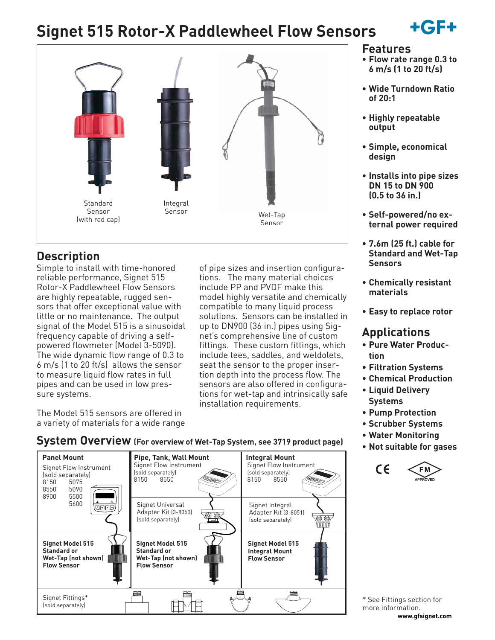# **Signet 515 Rotor-X Paddlewheel Flow Sensors**





# **Description**

Simple to install with time-honored reliable performance, Signet 515 Rotor-X Paddlewheel Flow Sensors are highly repeatable, rugged sensors that offer exceptional value with little or no maintenance. The output signal of the Model 515 is a sinusoidal frequency capable of driving a selfpowered flowmeter (Model 3-5090). The wide dynamic flow range of 0.3 to 6 m/s (1 to 20 ft/s) allows the sensor to measure liquid flow rates in full pipes and can be used in low pressure systems.

of pipe sizes and insertion configurations. The many material choices include PP and PVDF make this model highly versatile and chemically compatible to many liquid process solutions. Sensors can be installed in up to DN900 (36 in.) pipes using Signet's comprehensive line of custom fittings. These custom fittings, which include tees, saddles, and weldolets, seat the sensor to the proper insertion depth into the process flow. The sensors are also offered in configurations for wet-tap and intrinsically safe installation requirements.

The Model 515 sensors are offered in a variety of materials for a wide range

**Panel Mount Pipe, Tank, Wall Mount Integral Mount** Signet Flow Instrument Signet Flow Instrument Signet Flow Instrument (sold separately)<br>8150 8550 (sold separately)<br>8150 8550 (sold separately)<br>8150 5075 8150 8550 8150 5075<br>8550 5090 8550<br>8900 8900 5500 5600 Signet Universal Signet Integral खनन⊟ Adapter Kit (3-8050) Adapter Kit (3-8051) (sold separately) (sold separately) **Signet Model 515 Signet Model 515 Signet Model 515 Standard or Standard or Integral Mount Wet-Tap (not shown) Wet-Tap (not shown) Flow Sensor Flow Sensor Flow Sensor** Signet Fittings\* (sold separately)

### **System Overview (For overview of Wet-Tap System, see 3719 product page)**

### **Features**

- **Flow rate range 0.3 to 6 m/s (1 to 20 ft/s)**
- **Wide Turndown Ratio of 20:1**
- **Highly repeatable output**
- **Simple, economical design**
- **Installs into pipe sizes DN 15 to DN 900 (0.5 to 36 in.)**
- **Self-powered/no external power required**
- **7.6m (25 ft.) cable for Standard and Wet-Tap Sensors**
- **Chemically resistant materials**
- **Easy to replace rotor**

# **Applications**

- **Pure Water Production**
- **Filtration Systems**
- **Chemical Production**
- **Liquid Delivery Systems**
- **Pump Protection**
- **Scrubber Systems**
- **Water Monitoring**
- **Not suitable for gases**



**www.gfsignet.com** \* See Fittings section for more information.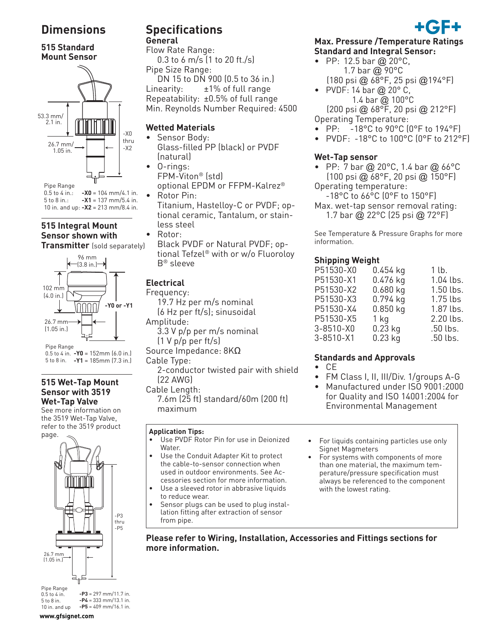# **Dimensions**

#### **515 Standard Mount Sensor**



**-X1** = 137 mm/5.4 in. **-X2** = 213 mm/8.4 in. 10 in. and up:

# **515 Integral Mount Sensor shown with**

**Transmitter** (sold separately)



**-Y0** = 152mm (6.0 in.) 0.5 to 4 in. **-Y1** = 185mm (7.3 in.) 5 to 8 in.

#### **515 Wet-Tap Mount Sensor with 3519 Wet-Tap Valve**

See more information on the 3519 Wet-Tap Valve, refer to the 3519 product page.



 $-P3 = 297$  mm/11.7 in. **-P4** = 333 mm/13.1 in. **-P5** = 409 mm/16.1 in. 0.5 to 4 in. 5 to 8 in. 10 in. and up

# **Specifications**

# **General**

Flow Rate Range: 0.3 to 6 m/s (1 to 20 ft./s) Pipe Size Range:

 DN 15 to DN 900 (0.5 to 36 in.) Linearity: ±1% of full range Repeatability: ±0.5% of full range Min. Reynolds Number Required: 4500

#### **Wetted Materials**

- Sensor Body:
- Glass-filled PP (black) or PVDF (natural) • O-rings:
- FPM-Viton® (std) optional EPDM or FFPM-Kalrez® • Rotor Pin:
	- Titanium, Hastelloy-C or PVDF; optional ceramic, Tantalum, or stainless steel
- Rotor:
	- Black PVDF or Natural PVDF; optional Tefzel® with or w/o Fluoroloy B® sleeve

# **Electrical**

Frequency: 19.7 Hz per m/s nominal (6 Hz per ft/s); sinusoidal Amplitude: 3.3 V p/p per m/s nominal  $(1 V p/p$  per ft/s) Source Impedance: 8KΩ Cable Type: 2-conductor twisted pair with shield  $(22$  AWG) Cable Length: 7.6m (25 ft) standard/60m (200 ft) maximum

#### **Application Tips:**

- Use PVDF Rotor Pin for use in Deionized Water.
- Use the Conduit Adapter Kit to protect the cable-to-sensor connection when used in outdoor environments. See Accessories section for more information.
- Use a sleeved rotor in abbrasive liquids to reduce wear.
- Sensor plugs can be used to plug installation fitting after extraction of sensor from pipe.

#### **Max. Pressure /Temperature Ratings Standard and Integral Sensor:**

- PP: 12.5 bar @ 20 $^{\circ}$ C, 1.7 bar @ 90°C
- (180 psi @ 68°F, 25 psi @194°F) • PVDF: 14 bar  $@$  20 $^{\circ}$  C, 1.4 bar @ 100°C (200 psi @ 68°F, 20 psi @ 212°F)
- Operating Temperature:
- PP: -18°C to 90°C (0°F to 194°F)
- PVDF: -18°C to 100°C (0°F to 212°F)

#### **Wet-Tap sensor**

- PP:  $7 \text{ bar} \textcircled{a} 20^{\circ} \text{C}$ , 1.4 bar  $\textcircled{a} 66^{\circ} \text{C}$  (100 psi @ 68°F, 20 psi @ 150°F) Operating temperature:
- -18°C to 66°C (0°F to 150°F)
- Max. wet-tap sensor removal rating: 1.7 bar @ 22°C (25 psi @ 72°F)

See Temperature & Pressure Graphs for more

# information.

#### **Shipping Weight**

| P51530-X0 | $0.454$ kg | 1 lb.       |
|-----------|------------|-------------|
| P51530-X1 | 0.476 kg   | 1.04 lbs.   |
| P51530-X2 | $0.680$ kg | $1.50$ lbs. |
| P51530-X3 | 0.794 kg   | $1.75$ lbs  |
| P51530-X4 | $0.850$ kg | 1.87 lbs.   |
| P51530-X5 | 1 kg       | 2.20 lbs.   |
| 3-8510-X0 | $0.23$ kg  | .50 lbs.    |
| 3-8510-X1 | $0.23$ kg  | .50 lbs.    |
|           |            |             |

#### **Standards and Approvals**

- CE
- FM Class I, II, III/Div. 1/groups A-G
- Manufactured under ISO 9001:2000 for Quality and ISO 14001:2004 for Environmental Management
- For liquids containing particles use only Signet Magmeters
- For systems with components of more than one material, the maximum temperature/pressure specification must always be referenced to the component with the lowest rating.

**Please refer to Wiring, Installation, Accessories and Fittings sections for more information.**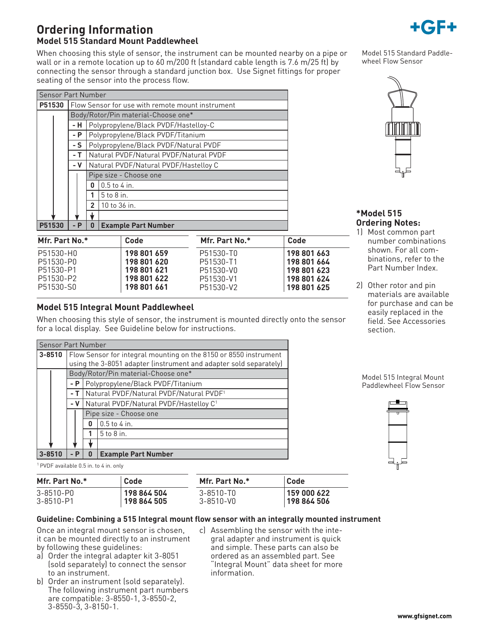### **Ordering Information Model 515 Standard Mount Paddlewheel**

When choosing this style of sensor, the instrument can be mounted nearby on a pipe or wall or in a remote location up to 60 m/200 ft (standard cable length is 7.6 m/25 ft) by connecting the sensor through a standard junction box. Use Signet fittings for proper seating of the sensor into the process flow.

| <b>Sensor Part Number</b> |  |       |                                                  |                            |                |      |  |
|---------------------------|--|-------|--------------------------------------------------|----------------------------|----------------|------|--|
| P51530                    |  |       | Flow Sensor for use with remote mount instrument |                            |                |      |  |
|                           |  |       | Body/Rotor/Pin material-Choose one*              |                            |                |      |  |
|                           |  | - H   | Polypropylene/Black PVDF/Hastelloy-C             |                            |                |      |  |
|                           |  | - P   | Polypropylene/Black PVDF/Titanium                |                            |                |      |  |
|                           |  | - S   | Polypropylene/Black PVDF/Natural PVDF            |                            |                |      |  |
|                           |  | - T   | Natural PVDF/Natural PVDF/Natural PVDF           |                            |                |      |  |
|                           |  | - V   | Natural PVDF/Natural PVDF/Hastelloy C            |                            |                |      |  |
|                           |  |       | Pipe size - Choose one                           |                            |                |      |  |
|                           |  |       | $0.5$ to $4$ in.<br>0                            |                            |                |      |  |
|                           |  |       | 5 to 8 in.                                       |                            |                |      |  |
|                           |  |       | 10 to 36 in.<br>$\overline{2}$                   |                            |                |      |  |
|                           |  |       |                                                  |                            |                |      |  |
| P51530                    |  | $- P$ | 0                                                | <b>Example Part Number</b> |                |      |  |
| Mfr. Part No.*            |  |       |                                                  | Code                       | Mfr. Part No.* | Code |  |

P51530-P0 **198 801 620**

P51530-S0 **198 801 661**

**3-8510** Flow Sensor for integral mounting on the 8150 or 8550 instrument

using the 3-8051 adapter (instrument and adapter sold separately)

for a local display. See Guideline below for instructions.

Body/Rotor/Pin material-Choose one\* **- P** Polypropylene/Black PVDF/Titanium - **T** Natural PVDF/Natural PVDF/Natural PVDF<sup>1</sup> - V Natural PVDF/Natural PVDF/Hastelloy C<sup>1</sup>

Pipe size - Choose one

**0**  $\vert$  0.5 to 4 in. **1**  $\sqrt{5}$  to 8 in.

**3-8510 - P 0 Example Part Number**

Model 515 Standard Paddlewheel Flow Sensor

#### **\*Model 515 Ordering Notes:**

- 1) Most common part number combinations shown. For all combinations, refer to the Part Number Index.
- 2) Other rotor and pin materials are available for purchase and can be easily replaced in the field. See Accessories section.

Model 515 Integral Mount Paddlewheel Flow Sensor

<sup>1</sup> PVDF available 0.5 in. to 4 in. only

Sensor Part Number

| Mfr. Part No.*  | Code        | Mfr. Part No.* | Code        |
|-----------------|-------------|----------------|-------------|
| 3-8510-P0       | 198 864 504 | 3-8510-TO      | 159 000 622 |
| $3 - 8510 - P1$ | 198 864 505 | 3-8510-V0      | 198 864 506 |

When choosing this style of sensor, the instrument is mounted directly onto the sensor

#### **Guideline: Combining a 515 Integral mount flow sensor with an integrally mounted instrument**

Once an integral mount sensor is chosen, it can be mounted directly to an instrument by following these guidelines:

**Model 515 Integral Mount Paddlewheel**

P51530-H0 **198 801 659**

P51530-P1 **198 801 621** P51530-P2 **198 801 622**

- a) Order the integral adapter kit 3-8051 (sold separately) to connect the sensor to an instrument.
- b) Order an instrument (sold separately). The following instrument part numbers are compatible: 3-8550-1, 3-8550-2, 3-8550-3, 3-8150-1.
- c) Assembling the sensor with the integral adapter and instrument is quick and simple. These parts can also be ordered as an assembled part. See "Integral Mount" data sheet for more information.